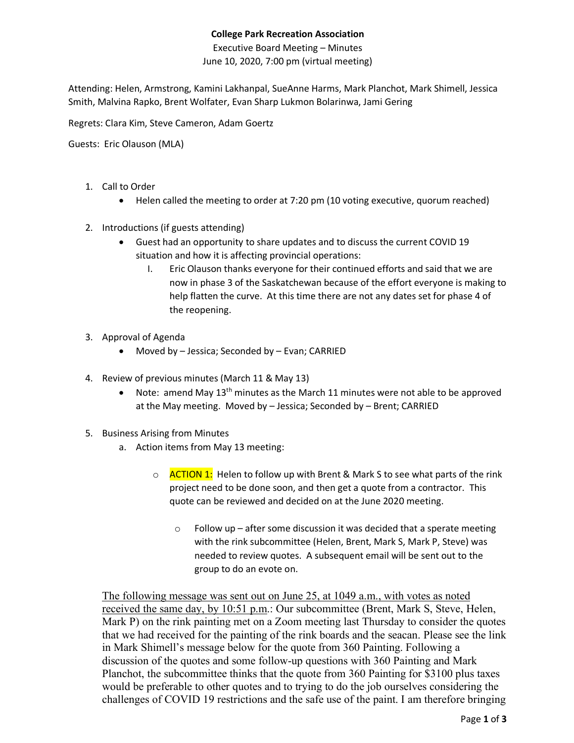## **College Park Recreation Association**

Executive Board Meeting – Minutes June 10, 2020, 7:00 pm (virtual meeting)

Attending: Helen, Armstrong, Kamini Lakhanpal, SueAnne Harms, Mark Planchot, Mark Shimell, Jessica Smith, Malvina Rapko, Brent Wolfater, Evan Sharp Lukmon Bolarinwa, Jami Gering

Regrets: Clara Kim, Steve Cameron, Adam Goertz

Guests: Eric Olauson (MLA)

- 1. Call to Order
	- Helen called the meeting to order at 7:20 pm (10 voting executive, quorum reached)
- 2. Introductions (if guests attending)
	- Guest had an opportunity to share updates and to discuss the current COVID 19 situation and how it is affecting provincial operations:
		- I. Eric Olauson thanks everyone for their continued efforts and said that we are now in phase 3 of the Saskatchewan because of the effort everyone is making to help flatten the curve. At this time there are not any dates set for phase 4 of the reopening.
- 3. Approval of Agenda
	- Moved by Jessica; Seconded by Evan; CARRIED
- 4. Review of previous minutes (March 11 & May 13)
	- Note: amend May 13<sup>th</sup> minutes as the March 11 minutes were not able to be approved at the May meeting. Moved by – Jessica; Seconded by – Brent; CARRIED
- 5. Business Arising from Minutes
	- a. Action items from May 13 meeting:
		- o **ACTION 1:** Helen to follow up with Brent & Mark S to see what parts of the rink project need to be done soon, and then get a quote from a contractor. This quote can be reviewed and decided on at the June 2020 meeting.
			- $\circ$  Follow up after some discussion it was decided that a sperate meeting with the rink subcommittee (Helen, Brent, Mark S, Mark P, Steve) was needed to review quotes. A subsequent email will be sent out to the group to do an evote on.

The following message was sent out on June 25, at 1049 a.m., with votes as noted received the same day, by 10:51 p.m.: Our subcommittee (Brent, Mark S, Steve, Helen, Mark P) on the rink painting met on a Zoom meeting last Thursday to consider the quotes that we had received for the painting of the rink boards and the seacan. Please see the link in Mark Shimell's message below for the quote from 360 Painting. Following a discussion of the quotes and some follow-up questions with 360 Painting and Mark Planchot, the subcommittee thinks that the quote from 360 Painting for \$3100 plus taxes would be preferable to other quotes and to trying to do the job ourselves considering the challenges of COVID 19 restrictions and the safe use of the paint. I am therefore bringing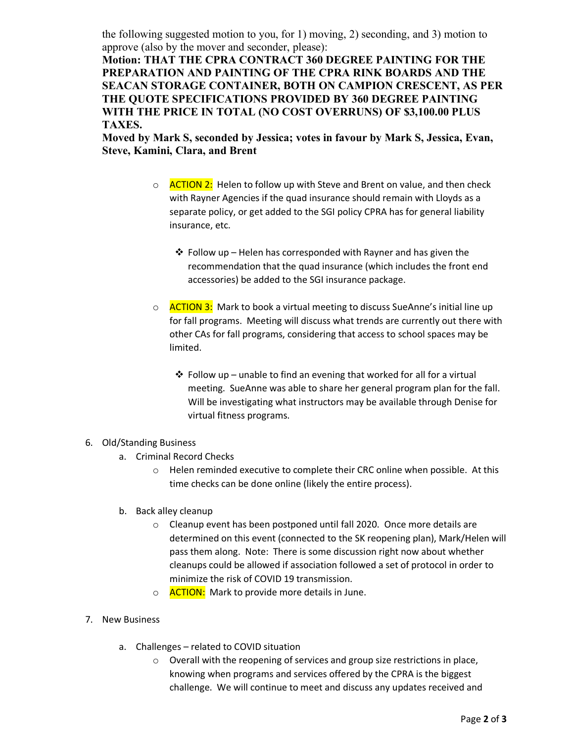the following suggested motion to you, for 1) moving, 2) seconding, and 3) motion to approve (also by the mover and seconder, please):

**Motion: THAT THE CPRA CONTRACT 360 DEGREE PAINTING FOR THE PREPARATION AND PAINTING OF THE CPRA RINK BOARDS AND THE SEACAN STORAGE CONTAINER, BOTH ON CAMPION CRESCENT, AS PER THE QUOTE SPECIFICATIONS PROVIDED BY 360 DEGREE PAINTING WITH THE PRICE IN TOTAL (NO COST OVERRUNS) OF \$3,100.00 PLUS TAXES.**

**Moved by Mark S, seconded by Jessica; votes in favour by Mark S, Jessica, Evan, Steve, Kamini, Clara, and Brent**

- o **ACTION 2:** Helen to follow up with Steve and Brent on value, and then check with Rayner Agencies if the quad insurance should remain with Lloyds as a separate policy, or get added to the SGI policy CPRA has for general liability insurance, etc.
	- $\cdot$  Follow up Helen has corresponded with Rayner and has given the recommendation that the quad insurance (which includes the front end accessories) be added to the SGI insurance package.
- o **ACTION 3:** Mark to book a virtual meeting to discuss SueAnne's initial line up for fall programs. Meeting will discuss what trends are currently out there with other CAs for fall programs, considering that access to school spaces may be limited.
	- $\clubsuit$  Follow up unable to find an evening that worked for all for a virtual meeting. SueAnne was able to share her general program plan for the fall. Will be investigating what instructors may be available through Denise for virtual fitness programs.

## 6. Old/Standing Business

- a. Criminal Record Checks
	- o Helen reminded executive to complete their CRC online when possible. At this time checks can be done online (likely the entire process).
- b. Back alley cleanup
	- o Cleanup event has been postponed until fall 2020. Once more details are determined on this event (connected to the SK reopening plan), Mark/Helen will pass them along. Note: There is some discussion right now about whether cleanups could be allowed if association followed a set of protocol in order to minimize the risk of COVID 19 transmission.
	- o **ACTION:** Mark to provide more details in June.
- 7. New Business
	- a. Challenges related to COVID situation
		- o Overall with the reopening of services and group size restrictions in place, knowing when programs and services offered by the CPRA is the biggest challenge. We will continue to meet and discuss any updates received and